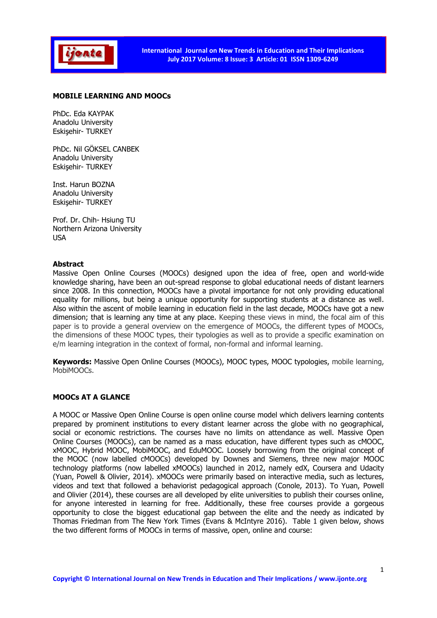

#### MOBILE LEARNING AND MOOCs

PhDc. Eda KAYPAK Anadolu University Eskişehir- TURKEY

PhDc. Nil GÖKSEL CANBEK Anadolu University Eskişehir- TURKEY

Inst. Harun BOZNA Anadolu University Eskişehir- TURKEY

Prof. Dr. Chih- Hsiung TU Northern Arizona University USA

#### Abstract

Massive Open Online Courses (MOOCs) designed upon the idea of free, open and world-wide knowledge sharing, have been an out-spread response to global educational needs of distant learners since 2008. In this connection, MOOCs have a pivotal importance for not only providing educational equality for millions, but being a unique opportunity for supporting students at a distance as well. Also within the ascent of mobile learning in education field in the last decade, MOOCs have got a new dimension; that is learning any time at any place. Keeping these views in mind, the focal aim of this paper is to provide a general overview on the emergence of MOOCs, the different types of MOOCs, the dimensions of these MOOC types, their typologies as well as to provide a specific examination on e/m learning integration in the context of formal, non-formal and informal learning.

Keywords: Massive Open Online Courses (MOOCs), MOOC types, MOOC typologies, mobile learning, MobiMOOCs.

#### MOOCs AT A GLANCE

A MOOC or Massive Open Online Course is open online course model which delivers learning contents prepared by prominent institutions to every distant learner across the globe with no geographical, social or economic restrictions. The courses have no limits on attendance as well. Massive Open Online Courses (MOOCs), can be named as a mass education, have different types such as cMOOC, xMOOC, Hybrid MOOC, MobiMOOC, and EduMOOC. Loosely borrowing from the original concept of the MOOC (now labelled cMOOCs) developed by Downes and Siemens, three new major MOOC technology platforms (now labelled xMOOCs) launched in 2012, namely edX, Coursera and Udacity (Yuan, Powell & Olivier, 2014). xMOOCs were primarily based on interactive media, such as lectures, videos and text that followed a behaviorist pedagogical approach (Conole, 2013). To Yuan, Powell and Olivier (2014), these courses are all developed by elite universities to publish their courses online, for anyone interested in learning for free. Additionally, these free courses provide a gorgeous opportunity to close the biggest educational gap between the elite and the needy as indicated by Thomas Friedman from The New York Times (Evans & McIntyre 2016). Table 1 given below, shows the two different forms of MOOCs in terms of massive, open, online and course: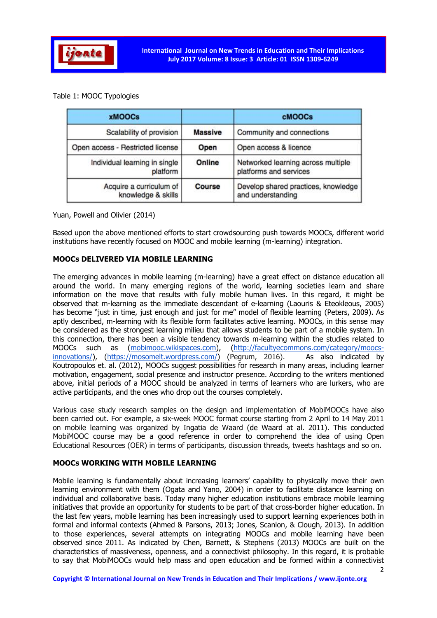

# Table 1: MOOC Typologies

| <b>xMOOCs</b>                                 |                | <b>cMOOCs</b>                                                |
|-----------------------------------------------|----------------|--------------------------------------------------------------|
| Scalability of provision                      | <b>Massive</b> | Community and connections                                    |
| Open access - Restricted license              | Open           | Open access & licence                                        |
| Individual learning in single<br>platform     | Online         | Networked learning across multiple<br>platforms and services |
| Acquire a curriculum of<br>knowledge & skills | <b>Course</b>  | Develop shared practices, knowledge<br>and understanding     |

Yuan, Powell and Olivier (2014)

Based upon the above mentioned efforts to start crowdsourcing push towards MOOCs, different world institutions have recently focused on MOOC and mobile learning (m-learning) integration.

# MOOCs DELIVERED VIA MOBILE LEARNING

The emerging advances in mobile learning (m-learning) have a great effect on distance education all around the world. In many emerging regions of the world, learning societies learn and share information on the move that results with fully mobile human lives. In this regard, it might be observed that m-learning as the immediate descendant of e-learning (Laouris & Eteokleous, 2005) has become "just in time, just enough and just for me" model of flexible learning (Peters, 2009). As aptly described, m-learning with its flexible form facilitates active learning. MOOCs, in this sense may be considered as the strongest learning milieu that allows students to be part of a mobile system. In this connection, there has been a visible tendency towards m-learning within the studies related to MOOCs such as (mobimooc.wikispaces.com), (http://facultyecommons.com/category/moocsinnovations/), (https://mosomelt.wordpress.com/) (Pegrum, 2016). As also indicated by Koutropoulos et. al. (2012), MOOCs suggest possibilities for research in many areas, including learner motivation, engagement, social presence and instructor presence. According to the writers mentioned above, initial periods of a MOOC should be analyzed in terms of learners who are lurkers, who are active participants, and the ones who drop out the courses completely.

Various case study research samples on the design and implementation of MobiMOOCs have also been carried out. For example, a six-week MOOC format course starting from 2 April to 14 May 2011 on mobile learning was organized by Ingatia de Waard (de Waard at al. 2011). This conducted MobiMOOC course may be a good reference in order to comprehend the idea of using Open Educational Resources (OER) in terms of participants, discussion threads, tweets hashtags and so on.

# MOOCs WORKING WITH MOBILE LEARNING

Mobile learning is fundamentally about increasing learners' capability to physically move their own learning environment with them (Ogata and Yano, 2004) in order to facilitate distance learning on individual and collaborative basis. Today many higher education institutions embrace mobile learning initiatives that provide an opportunity for students to be part of that cross-border higher education. In the last few years, mobile learning has been increasingly used to support learning experiences both in formal and informal contexts (Ahmed & Parsons, 2013; Jones, Scanlon, & Clough, 2013). In addition to those experiences, several attempts on integrating MOOCs and mobile learning have been observed since 2011. As indicated by Chen, Barnett, & Stephens (2013) MOOCs are built on the characteristics of massiveness, openness, and a connectivist philosophy. In this regard, it is probable to say that MobiMOOCs would help mass and open education and be formed within a connectivist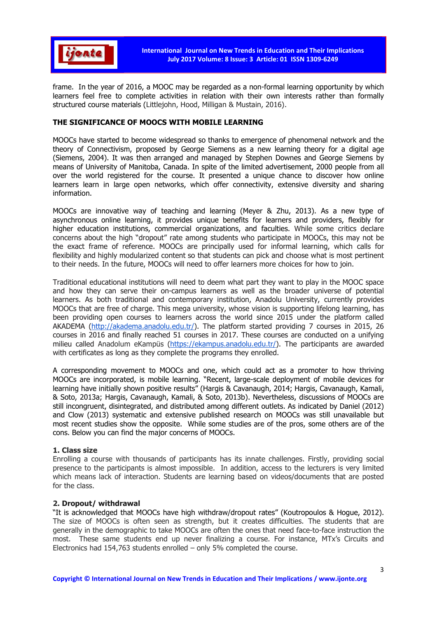

frame. In the year of 2016, a MOOC may be regarded as a non-formal learning opportunity by which learners feel free to complete activities in relation with their own interests rather than formally structured course materials (Littlejohn, Hood, Milligan & Mustain, 2016).

#### THE SIGNIFICANCE OF MOOCS WITH MOBILE LEARNING

MOOCs have started to become widespread so thanks to emergence of phenomenal network and the theory of Connectivism, proposed by George Siemens as a new learning theory for a digital age (Siemens, 2004). It was then arranged and managed by Stephen Downes and George Siemens by means of University of Manitoba, Canada. In spite of the limited advertisement, 2000 people from all over the world registered for the course. It presented a unique chance to discover how online learners learn in large open networks, which offer connectivity, extensive diversity and sharing information.

MOOCs are innovative way of teaching and learning (Meyer & Zhu, 2013). As a new type of asynchronous online learning, it provides unique benefits for learners and providers, flexibly for higher education institutions, commercial organizations, and faculties. While some critics declare concerns about the high "dropout" rate among students who participate in MOOCs, this may not be the exact frame of reference. MOOCs are principally used for informal learning, which calls for flexibility and highly modularized content so that students can pick and choose what is most pertinent to their needs. In the future, MOOCs will need to offer learners more choices for how to join.

Traditional educational institutions will need to deem what part they want to play in the MOOC space and how they can serve their on-campus learners as well as the broader universe of potential learners. As both traditional and contemporary institution, Anadolu University, currently provides MOOCs that are free of charge. This mega university, whose vision is supporting lifelong learning, has been providing open courses to learners across the world since 2015 under the platform called AKADEMA (http://akadema.anadolu.edu.tr/). The platform started providing 7 courses in 2015, 26 courses in 2016 and finally reached 51 courses in 2017. These courses are conducted on a unifying milieu called Anadolum eKampüs (https://ekampus.anadolu.edu.tr/). The participants are awarded with certificates as long as they complete the programs they enrolled.

A corresponding movement to MOOCs and one, which could act as a promoter to how thriving MOOCs are incorporated, is mobile learning. "Recent, large-scale deployment of mobile devices for learning have initially shown positive results" (Hargis & Cavanaugh, 2014; Hargis, Cavanaugh, Kamali, & Soto, 2013a; Hargis, Cavanaugh, Kamali, & Soto, 2013b). Nevertheless, discussions of MOOCs are still incongruent, disintegrated, and distributed among different outlets. As indicated by Daniel (2012) and Clow (2013) systematic and extensive published research on MOOCs was still unavailable but most recent studies show the opposite. While some studies are of the pros, some others are of the cons. Below you can find the major concerns of MOOCs.

#### 1. Class size

Enrolling a course with thousands of participants has its innate challenges. Firstly, providing social presence to the participants is almost impossible. In addition, access to the lecturers is very limited which means lack of interaction. Students are learning based on videos/documents that are posted for the class.

#### 2. Dropout/ withdrawal

"It is acknowledged that MOOCs have high withdraw/dropout rates" (Koutropoulos & Hogue, 2012). The size of MOOCs is often seen as strength, but it creates difficulties. The students that are generally in the demographic to take MOOCs are often the ones that need face-to-face instruction the most. These same students end up never finalizing a course. For instance, MTx's Circuits and Electronics had 154,763 students enrolled – only 5% completed the course.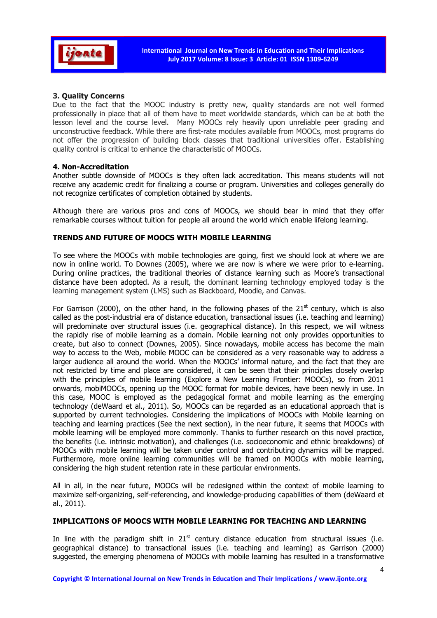

# 3. Quality Concerns

Due to the fact that the MOOC industry is pretty new, quality standards are not well formed professionally in place that all of them have to meet worldwide standards, which can be at both the lesson level and the course level. Many MOOCs rely heavily upon unreliable peer grading and unconstructive feedback. While there are first-rate modules available from MOOCs, most programs do not offer the progression of building block classes that traditional universities offer. Establishing quality control is critical to enhance the characteristic of MOOCs.

### 4. Non-Accreditation

Another subtle downside of MOOCs is they often lack accreditation. This means students will not receive any academic credit for finalizing a course or program. Universities and colleges generally do not recognize certificates of completion obtained by students.

Although there are various pros and cons of MOOCs, we should bear in mind that they offer remarkable courses without tuition for people all around the world which enable lifelong learning.

# TRENDS AND FUTURE OF MOOCS WITH MOBILE LEARNING

To see where the MOOCs with mobile technologies are going, first we should look at where we are now in online world. To Downes (2005), where we are now is where we were prior to e-learning. During online practices, the traditional theories of distance learning such as Moore's transactional distance have been adopted. As a result, the dominant learning technology employed today is the learning management system (LMS) such as Blackboard, Moodle, and Canvas.

For Garrison (2000), on the other hand, in the following phases of the 21<sup>st</sup> century, which is also called as the post-industrial era of distance education, transactional issues (i.e. teaching and learning) will predominate over structural issues (i.e. geographical distance). In this respect, we will witness the rapidly rise of mobile learning as a domain. Mobile learning not only provides opportunities to create, but also to connect (Downes, 2005). Since nowadays, mobile access has become the main way to access to the Web, mobile MOOC can be considered as a very reasonable way to address a larger audience all around the world. When the MOOCs' informal nature, and the fact that they are not restricted by time and place are considered, it can be seen that their principles closely overlap with the principles of mobile learning (Explore a New Learning Frontier: MOOCs), so from 2011 onwards, mobiMOOCs, opening up the MOOC format for mobile devices, have been newly in use. In this case, MOOC is employed as the pedagogical format and mobile learning as the emerging technology (deWaard et al., 2011). So, MOOCs can be regarded as an educational approach that is supported by current technologies. Considering the implications of MOOCs with Mobile learning on teaching and learning practices (See the next section), in the near future, it seems that MOOCs with mobile learning will be employed more commonly. Thanks to further research on this novel practice, the benefits (i.e. intrinsic motivation), and challenges (i.e. socioeconomic and ethnic breakdowns) of MOOCs with mobile learning will be taken under control and contributing dynamics will be mapped. Furthermore, more online learning communities will be framed on MOOCs with mobile learning, considering the high student retention rate in these particular environments.

All in all, in the near future, MOOCs will be redesigned within the context of mobile learning to maximize self-organizing, self-referencing, and knowledge-producing capabilities of them (deWaard et al., 2011).

# IMPLICATIONS OF MOOCS WITH MOBILE LEARNING FOR TEACHING AND LEARNING

In line with the paradigm shift in  $21^{st}$  century distance education from structural issues (i.e. geographical distance) to transactional issues (i.e. teaching and learning) as Garrison (2000) suggested, the emerging phenomena of MOOCs with mobile learning has resulted in a transformative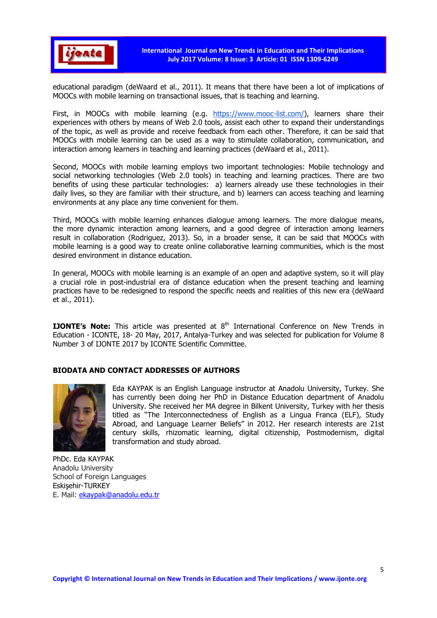

International Journal on New Trends in Education and Their Implications July 2017 Volume: 8 Issue: 3 Article: 01 ISSN 1309-6249

educational paradigm (deWaard et al., 2011). It means that there have been a lot of implications of MOOCs with mobile learning on transactional issues, that is teaching and learning.

First, in MOOCs with mobile learning (e.g. https://www.mooc-list.com/), learners share their experiences with others by means of Web 2.0 tools, assist each other to expand their understandings of the topic, as well as provide and receive feedback from each other. Therefore, it can be said that MOOCs with mobile learning can be used as a way to stimulate collaboration, communication, and interaction among learners in teaching and learning practices (deWaard et al., 2011).

Second, MOOCs with mobile learning employs two important technologies: Mobile technology and social networking technologies (Web 2.0 tools) in teaching and learning practices. There are two benefits of using these particular technologies: a) learners already use these technologies in their daily lives, so they are familiar with their structure, and b) learners can access teaching and learning environments at any place any time convenient for them.

Third, MOOCs with mobile learning enhances dialogue among learners. The more dialogue means, the more dynamic interaction among learners, and a good degree of interaction among learners result in collaboration (Rodriguez, 2013). So, in a broader sense, it can be said that MOOCs with mobile learning is a good way to create online collaborative learning communities, which is the most desired environment in distance education.

In general, MOOCs with mobile learning is an example of an open and adaptive system, so it will play a crucial role in post-industrial era of distance education when the present teaching and learning practices have to be redesigned to respond the specific needs and realities of this new era (deWaard et al., 2011).

**IJONTE's Note:** This article was presented at  $8<sup>th</sup>$  International Conference on New Trends in Education - ICONTE, 18- 20 May, 2017, Antalya-Turkey and was selected for publication for Volume 8 Number 3 of IJONTE 2017 by ICONTE Scientific Committee.

# BIODATA AND CONTACT ADDRESSES OF AUTHORS



Eda KAYPAK is an English Language instructor at Anadolu University, Turkey. She has currently been doing her PhD in Distance Education department of Anadolu University. She received her MA degree in Bilkent University, Turkey with her thesis titled as "The Interconnectedness of English as a Lingua Franca (ELF), Study Abroad, and Language Learner Beliefs" in 2012. Her research interests are 21st century skills, rhizomatic learning, digital citizenship, Postmodernism, digital transformation and study abroad.

PhDc. Eda KAYPAK Anadolu University School of Foreign Languages Eskişehir-TURKEY E. Mail: ekaypak@anadolu.edu.tr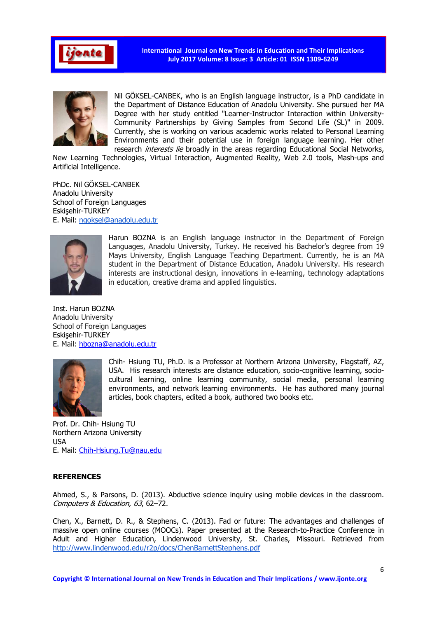

International Journal on New Trends in Education and Their Implications July 2017 Volume: 8 Issue: 3 Article: 01 ISSN 1309-6249



Nil GÖKSEL-CANBEK, who is an English language instructor, is a PhD candidate in the Department of Distance Education of Anadolu University. She pursued her MA Degree with her study entitled "Learner-Instructor Interaction within University-Community Partnerships by Giving Samples from Second Life (SL)" in 2009. Currently, she is working on various academic works related to Personal Learning Environments and their potential use in foreign language learning. Her other research *interests lie* broadly in the areas regarding Educational Social Networks,

New Learning Technologies, Virtual Interaction, Augmented Reality, Web 2.0 tools, Mash-ups and Artificial Intelligence.

PhDc. Nil GÖKSEL-CANBEK Anadolu University School of Foreign Languages Eskişehir-TURKEY E. Mail: ngoksel@anadolu.edu.tr



Harun BOZNA is an English language instructor in the Department of Foreign Languages, Anadolu University, Turkey. He received his Bachelor's degree from 19 Mayıs University, English Language Teaching Department. Currently, he is an MA student in the Department of Distance Education, Anadolu University. His research interests are instructional design, innovations in e-learning, technology adaptations in education, creative drama and applied linguistics.

Inst. Harun BOZNA Anadolu University School of Foreign Languages Eskişehir-TURKEY E. Mail: hbozna@anadolu.edu.tr



Chih- Hsiung TU, Ph.D. is a Professor at Northern Arizona University, Flagstaff, AZ, USA. His research interests are distance education, socio-cognitive learning, sociocultural learning, online learning community, social media, personal learning environments, and network learning environments. He has authored many journal articles, book chapters, edited a book, authored two books etc.

Prof. Dr. Chih- Hsiung TU Northern Arizona University USA E. Mail: Chih-Hsiung.Tu@nau.edu

#### **REFERENCES**

Ahmed, S., & Parsons, D. (2013). Abductive science inquiry using mobile devices in the classroom. Computers & Education, 63, 62–72.

Chen, X., Barnett, D. R., & Stephens, C. (2013). Fad or future: The advantages and challenges of massive open online courses (MOOCs). Paper presented at the Research-to-Practice Conference in Adult and Higher Education, Lindenwood University, St. Charles, Missouri. Retrieved from http://www.lindenwood.edu/r2p/docs/ChenBarnettStephens.pdf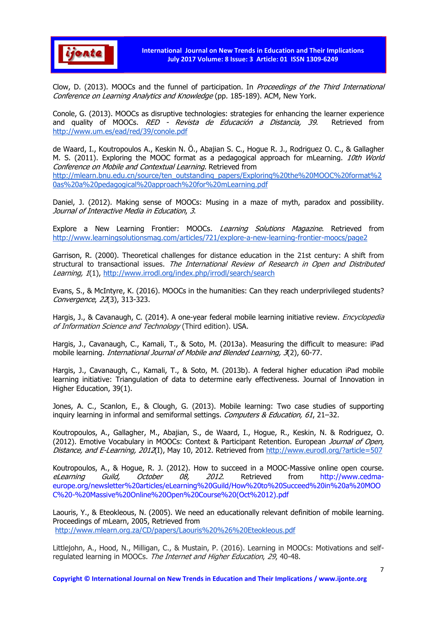

Clow, D. (2013). MOOCs and the funnel of participation. In Proceedings of the Third International Conference on Learning Analytics and Knowledge (pp. 185-189). ACM, New York.

Conole, G. (2013). MOOCs as disruptive technologies: strategies for enhancing the learner experience and quality of MOOCs. RED - Revista de Educación a Distancia, 39. Retrieved from http://www.um.es/ead/red/39/conole.pdf

de Waard, I., Koutropoulos A., Keskin N. Ö., Abajian S. C., Hogue R. J., Rodriguez O. C., & Gallagher M. S. (2011). Exploring the MOOC format as a pedagogical approach for mLearning. 10th World Conference on Mobile and Contextual Learning. Retrieved from http://mlearn.bnu.edu.cn/source/ten\_outstanding\_papers/Exploring%20the%20MOOC%20format%2 0as%20a%20pedagogical%20approach%20for%20mLearning.pdf

Daniel, J. (2012). Making sense of MOOCs: Musing in a maze of myth, paradox and possibility. Journal of Interactive Media in Education, 3.

Explore a New Learning Frontier: MOOCs. Learning Solutions Magazine. Retrieved from http://www.learningsolutionsmag.com/articles/721/explore-a-new-learning-frontier-moocs/page2

Garrison, R. (2000). Theoretical challenges for distance education in the 21st century: A shift from structural to transactional issues. The International Review of Research in Open and Distributed Learning, 1(1), http://www.irrodl.org/index.php/irrodl/search/search

Evans, S., & McIntyre, K. (2016). MOOCs in the humanities: Can they reach underprivileged students? Convergence, 22(3), 313-323.

Hargis, J., & Cavanaugh, C. (2014). A one-year federal mobile learning initiative review. *Encyclopedia* of Information Science and Technology (Third edition). USA.

Hargis, J., Cavanaugh, C., Kamali, T., & Soto, M. (2013a). Measuring the difficult to measure: iPad mobile learning. *International Journal of Mobile and Blended Learning, 3*(2), 60-77.

Hargis, J., Cavanaugh, C., Kamali, T., & Soto, M. (2013b). A federal higher education iPad mobile learning initiative: Triangulation of data to determine early effectiveness. Journal of Innovation in Higher Education, 39(1).

Jones, A. C., Scanlon, E., & Clough, G. (2013). Mobile learning: Two case studies of supporting inquiry learning in informal and semiformal settings. Computers & Education, 61, 21–32.

Koutropoulos, A., Gallagher, M., Abajian, S., de Waard, I., Hogue, R., Keskin, N. & Rodriguez, O. (2012). Emotive Vocabulary in MOOCs: Context & Participant Retention. European Journal of Open, Distance, and E-Learning, 2012(I), May 10, 2012. Retrieved from http://www.eurodl.org/?article=507

Koutropoulos, A., & Hogue, R. J. (2012). How to succeed in a MOOC-Massive online open course. eLearning Guild, October 08, 2012. Retrieved from http://www.cedmaeurope.org/newsletter%20articles/eLearning%20Guild/How%20to%20Succeed%20in%20a%20MOO C%20-%20Massive%20Online%20Open%20Course%20(Oct%2012).pdf

Laouris, Y., & Eteokleous, N. (2005). We need an educationally relevant definition of mobile learning. Proceedings of mLearn, 2005, Retrieved from http://www.mlearn.org.za/CD/papers/Laouris%20%26%20Eteokleous.pdf

Littlejohn, A., Hood, N., Milligan, C., & Mustain, P. (2016). Learning in MOOCs: Motivations and selfregulated learning in MOOCs. The Internet and Higher Education, 29, 40-48.